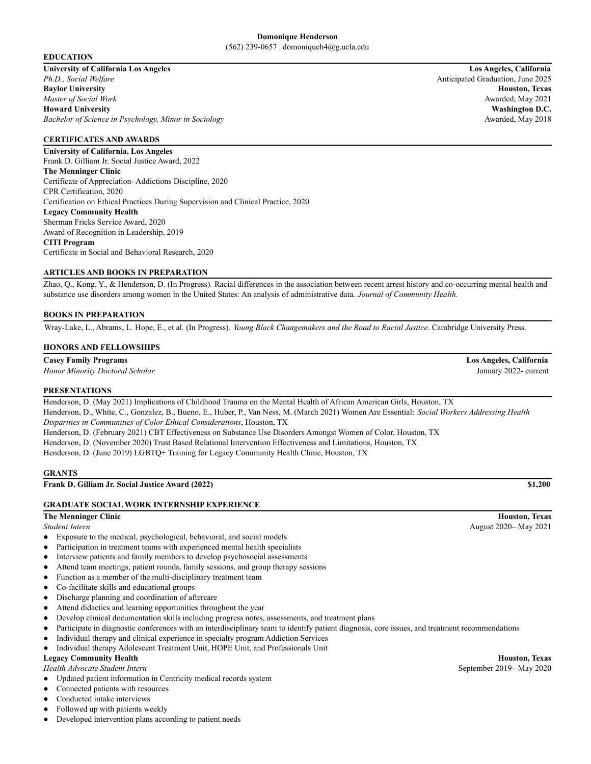#### **Domonique Henderson** (562) 239-0657 | domoniqueh4@g.ucla.edu

#### **EDUCATION**

**University of California Los Angeles Los Angeles, California** *Ph.D., Social Welfare* Anticipated Graduation, June 2025 **Baylor University Houston, Texas** *Master of Social Work* Awarded, May 2021 **Howard University Washington D.C.** *Bachelor of Science in Psychology, Minor in Sociology* Awarded, May 2018

## **CERTIFICATES AND AWARDS**

**University of California, Los Angeles** Frank D. Gilliam Jr. Social Justice Award, 2022 **The Menninger Clinic** Certificate of Appreciation- Addictions Discipline, 2020 CPR Certification, 2020 Certification on Ethical Practices During Supervision and Clinical Practice, 2020 **Legacy Community Health** Sherman Fricks Service Award, 2020 Award of Recognition in Leadership, 2019 **CITI Program** Certificate in Social and Behavioral Research, 2020

## **ARTICLES AND BOOKS IN PREPARATION**

Zhao, Q., Kong, Y., & Henderson, D. (In Progress). Racial differences in the association between recent arrest history and co-occurring mental health and substance use disorders among women in the United States: An analysis of administrative data. *Journal of Community Health.*

## **BOOKS IN PREPARATION**

Wray-Lake, L., Abrams, L. Hope, E., et al. (In Progress). *Young Black Changemakers and the Road to Racial Justice*. Cambridge University Press.

#### **HONORS AND FELLOWSHIPS**

## **Casey Family Programs Los Angeles, California**

*Honor Minority Doctoral Scholar* January 2022- current

#### **PRESENTATIONS**

Henderson, D. (May 2021) Implications of Childhood Trauma on the Mental Health of African American Girls, Houston, TX Henderson, D., White, C., Gonzalez, B., Bueno, E., Huber, P., Van Ness, M. (March 2021) Women Are Essential: *Social Workers Addressing Health Disparities in Communities of Color Ethical Considerations*, Houston, TX Henderson, D. (February 2021) CBT Effectiveness on Substance Use Disorders Amongst Women of Color, Houston, TX Henderson, D. (November 2020) Trust Based Relational Intervention Effectiveness and Limitations, Houston, TX Henderson, D. (June 2019) LGBTQ+ Training for Legacy Community Health Clinic, Houston, TX

#### **GRANTS**

**Frank D. Gilliam Jr. Social Justice Award (2022) \$1,200**

# **GRADUATE SOCIAL WORK INTERNSHIP EXPERIENCE**

- Exposure to the medical, psychological, behavioral, and social models
- Participation in treatment teams with experienced mental health specialists
- Interview patients and family members to develop psychosocial assessments
- Attend team meetings, patient rounds, family sessions, and group therapy sessions
- Function as a member of the multi-disciplinary treatment team
- Co-facilitate skills and educational groups
- Discharge planning and coordination of aftercare
- Attend didactics and learning opportunities throughout the year
- Develop clinical documentation skills including progress notes, assessments, and treatment plans
- Participate in diagnostic conferences with an interdisciplinary team to identify patient diagnosis, core issues, and treatment recommendations
- Individual therapy and clinical experience in specialty program Addiction Services
- Individual therapy Adolescent Treatment Unit, HOPE Unit, and Professionals Unit

# **Legacy Community Health Houston, Texas**

*Health Advocate Student Intern* September 2019– May 2020

- Updated patient information in Centricity medical records system
- Connected patients with resources
- Conducted intake interviews
- Followed up with patients weekly
- Developed intervention plans according to patient needs

**The Menninger Clinic Houston, Texas** *Student Intern* August 2020– May 2021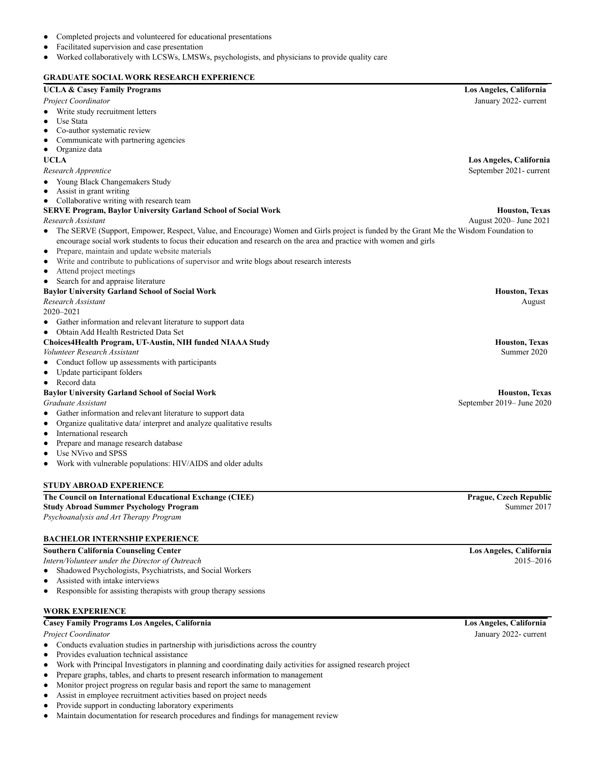- Completed projects and volunteered for educational presentations
- Facilitated supervision and case presentation
- Worked collaboratively with LCSWs, LMSWs, psychologists, and physicians to provide quality care

## **GRADUATE SOCIAL WORK RESEARCH EXPERIENCE**

## **UCLA & Casey Family Programs Los Angeles, California**

#### *Project Coordinator* January 2022- current

- Write study recruitment letters
- **Use Stata**
- Co-author systematic review
- Communicate with partnering agencies
- Organize data

#### **UCLA Los Angeles, California**

#### *Research Apprentice* September 2021- current

- Young Black Changemakers Study
- Assist in grant writing
- Collaborative writing with research team

# **SERVE Program, Baylor University Garland School of Social Work Houston, Texas**

#### *Research Assistant* August 2020– June 2021

- The SERVE (Support, Empower, Respect, Value, and Encourage) Women and Girls project is funded by the Grant Me the Wisdom Foundation to encourage social work students to focus their education and research on the area and practice with women and girls
- Prepare, maintain and update website materials
- Write and contribute to publications of supervisor and write blogs about research interests
- Attend project meetings
- Search for and appraise literature

#### **Baylor University Garland School of Social Work Houston, Texas**

## *Research Assistant* August

2020–2021

- Gather information and relevant literature to support data
- Obtain Add Health Restricted Data Set

## **Choices4Health Program, UT-Austin, NIH funded NIAAA Study Houston, Texas**

*Volunteer Research Assistant* Summer 2020

- Conduct follow up assessments with participants
- Update participant folders
- Record data

#### **Baylor University Garland School of Social Work Houston, Texas**

- Gather information and relevant literature to support data
- Organize qualitative data/ interpret and analyze qualitative results
- International research
- Prepare and manage research database
- Use NVivo and SPSS
- Work with vulnerable populations: HIV/AIDS and older adults

#### **STUDY ABROAD EXPERIENCE**

## **The Council on International Educational Exchange (CIEE) Prague, Czech Republic Study Abroad Summer Psychology Program** Summer 2017 *Psychoanalysis and Art Therapy Program*

#### **BACHELOR INTERNSHIP EXPERIENCE**

#### **Southern California Counseling Center Los Angeles, California**

*Intern/Volunteer under the Director of Outreach* 2015–2016

- Shadowed Psychologists, Psychiatrists, and Social Workers
- Assisted with intake interviews
- Responsible for assisting therapists with group therapy sessions

# **WORK EXPERIENCE**

## **Casey Family Programs Los Angeles, California Los Angeles, California**

- Conducts evaluation studies in partnership with jurisdictions across the country
- Provides evaluation technical assistance
- Work with Principal Investigators in planning and coordinating daily activities for assigned research project
- Prepare graphs, tables, and charts to present research information to management
- Monitor project progress on regular basis and report the same to management
- Assist in employee recruitment activities based on project needs
- Provide support in conducting laboratory experiments
- Maintain documentation for research procedures and findings for management review

*Graduate Assistant* September 2019– June 2020

*Project Coordinator* January 2022- current